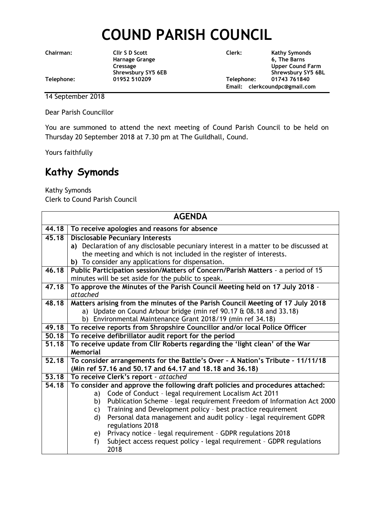## **COUND PARISH COUNCIL**

**Chairman: Cllr S D Scott Clerk: Kathy Symonds**

**Harnage Grange 6, The Barns** Cressage Upper Cound Farm<br>
Shrewsbury SY5 6EB<br>
Shrewsbury SY5 6B Shrewsbury SY5 6BL **Telephone: 01952 510209 Telephone: 01743 761840 Email: clerkcoundpc@gmail.com**

14 September 2018

Dear Parish Councillor

You are summoned to attend the next meeting of Cound Parish Council to be held on Thursday 20 September 2018 at 7.30 pm at The Guildhall, Cound.

Yours faithfully

## **Kathy Symonds**

Kathy Symonds

Clerk to Cound Parish Council

| <b>AGENDA</b> |                                                                                     |  |
|---------------|-------------------------------------------------------------------------------------|--|
|               | 44.18 To receive apologies and reasons for absence                                  |  |
| 45.18         | <b>Disclosable Pecuniary Interests</b>                                              |  |
|               | a) Declaration of any disclosable pecuniary interest in a matter to be discussed at |  |
|               | the meeting and which is not included in the register of interests.                 |  |
|               | b) To consider any applications for dispensation.                                   |  |
| 46.18         | Public Participation session/Matters of Concern/Parish Matters - a period of 15     |  |
|               | minutes will be set aside for the public to speak.                                  |  |
| 47.18         | To approve the Minutes of the Parish Council Meeting held on 17 July 2018 -         |  |
|               | attached                                                                            |  |
| 48.18         | Matters arising from the minutes of the Parish Council Meeting of 17 July 2018      |  |
|               | a) Update on Cound Arbour bridge (min ref 90.17 & 08.18 and 33.18)                  |  |
|               | b) Environmental Maintenance Grant 2018/19 (min ref 34.18)                          |  |
| 49.18         | To receive reports from Shropshire Councillor and/or local Police Officer           |  |
| 50.18         | To receive defibrillator audit report for the period                                |  |
| 51.18         | To receive update from Cllr Roberts regarding the 'light clean' of the War          |  |
|               | <b>Memorial</b>                                                                     |  |
| 52.18         | To consider arrangements for the Battle's Over - A Nation's Tribute - 11/11/18      |  |
|               | (Min ref 57.16 and 50.17 and 64.17 and 18.18 and 36.18)                             |  |
| 53.18         | To receive Clerk's report - attached                                                |  |
| 54.18         | To consider and approve the following draft policies and procedures attached:       |  |
|               | Code of Conduct - legal requirement Localism Act 2011<br>a)                         |  |
|               | Publication Scheme - legal requirement Freedom of Information Act 2000<br>b)        |  |
|               | Training and Development policy - best practice requirement<br>C)                   |  |
|               | Personal data management and audit policy - legal requirement GDPR<br>$\mathsf{d}$  |  |
|               | regulations 2018                                                                    |  |
|               | Privacy notice - legal requirement - GDPR regulations 2018<br>e)                    |  |
|               | Subject access request policy - legal requirement - GDPR regulations<br>$f$ )       |  |
|               | 2018                                                                                |  |